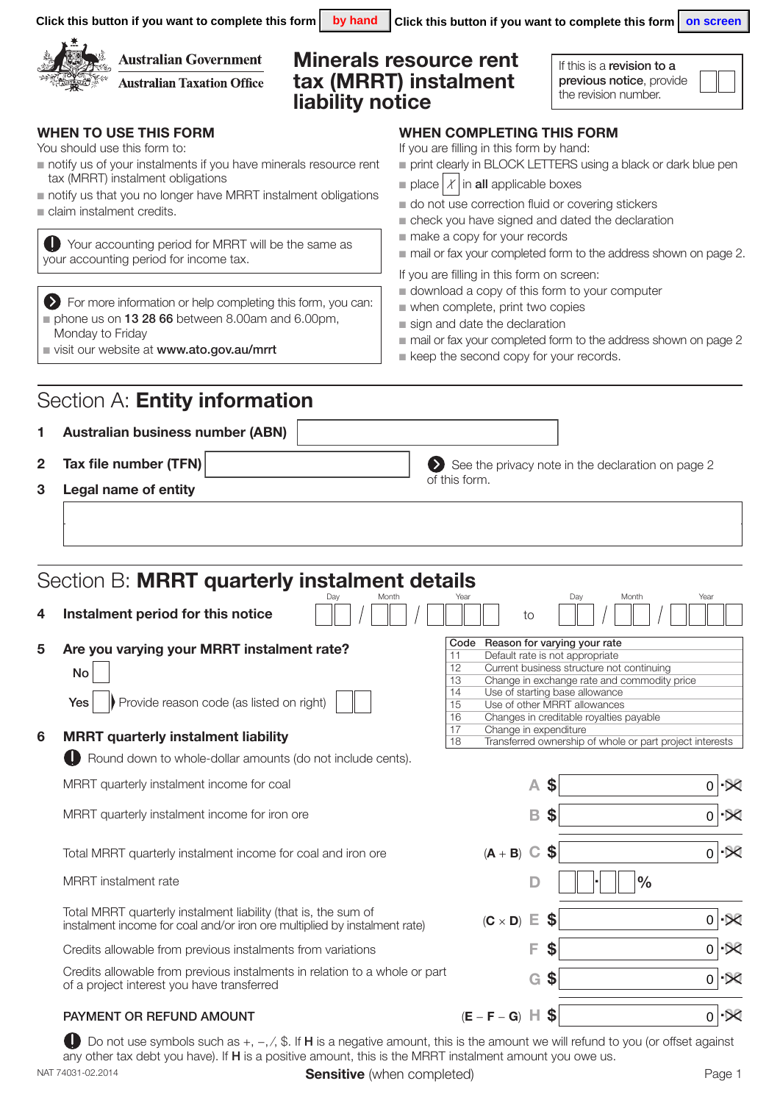|                                                                                                                               | Click this button if you want to complete this form<br>by hand                                                                                                                                                                                                                                                                                                       | Click this button if you want to complete this form $\vert$ on screen                                                                                                                                                                                                                                                                                                                                                                                                                            |  |  |  |  |
|-------------------------------------------------------------------------------------------------------------------------------|----------------------------------------------------------------------------------------------------------------------------------------------------------------------------------------------------------------------------------------------------------------------------------------------------------------------------------------------------------------------|--------------------------------------------------------------------------------------------------------------------------------------------------------------------------------------------------------------------------------------------------------------------------------------------------------------------------------------------------------------------------------------------------------------------------------------------------------------------------------------------------|--|--|--|--|
|                                                                                                                               | <b>Australian Government</b><br><b>Australian Taxation Office</b><br>liability notice                                                                                                                                                                                                                                                                                | <b>Minerals resource rent</b><br>If this is a revision to a<br>tax (MRRT) instalment<br>previous notice, provide<br>the revision number.                                                                                                                                                                                                                                                                                                                                                         |  |  |  |  |
|                                                                                                                               | <b>WHEN TO USE THIS FORM</b><br>You should use this form to:<br>notify us of your instalments if you have minerals resource rent<br>tax (MRRT) instalment obligations<br>notify us that you no longer have MRRT instalment obligations<br>claim instalment credits.<br>Your accounting period for MRRT will be the same as<br>your accounting period for income tax. | <b>WHEN COMPLETING THIS FORM</b><br>If you are filling in this form by hand:<br>print clearly in BLOCK LETTERS using a black or dark blue pen<br>place $ \chi $ in all applicable boxes<br>do not use correction fluid or covering stickers<br>check you have signed and dated the declaration<br>make a copy for your records<br>mail or fax your completed form to the address shown on page 2.<br>If you are filling in this form on screen:<br>download a copy of this form to your computer |  |  |  |  |
|                                                                                                                               | > For more information or help completing this form, you can:<br>phone us on 13 28 66 between 8.00am and 6.00pm,<br>Monday to Friday<br>visit our website at www.ato.gov.au/mrrt                                                                                                                                                                                     | when complete, print two copies<br>sign and date the declaration<br>mail or fax your completed form to the address shown on page 2<br>keep the second copy for your records.                                                                                                                                                                                                                                                                                                                     |  |  |  |  |
|                                                                                                                               | Section A: <b>Entity information</b>                                                                                                                                                                                                                                                                                                                                 |                                                                                                                                                                                                                                                                                                                                                                                                                                                                                                  |  |  |  |  |
| 1                                                                                                                             | <b>Australian business number (ABN)</b>                                                                                                                                                                                                                                                                                                                              |                                                                                                                                                                                                                                                                                                                                                                                                                                                                                                  |  |  |  |  |
| Tax file number (TFN)<br>2<br>See the privacy note in the declaration on page 2<br>of this form.<br>3<br>Legal name of entity |                                                                                                                                                                                                                                                                                                                                                                      |                                                                                                                                                                                                                                                                                                                                                                                                                                                                                                  |  |  |  |  |
| 4                                                                                                                             | Section B: MRRT quarterly instalment details<br>Day<br>Instalment period for this notice                                                                                                                                                                                                                                                                             | Year<br>Year<br>Day<br>Month<br>Month<br>to                                                                                                                                                                                                                                                                                                                                                                                                                                                      |  |  |  |  |
| 5                                                                                                                             | Are you varying your MRRT instalment rate?<br>No<br>Provide reason code (as listed on right)<br>Yes                                                                                                                                                                                                                                                                  | Code Reason for varying your rate<br>Default rate is not appropriate<br>11<br>12<br>Current business structure not continuing<br>Change in exchange rate and commodity price<br>13<br>Use of starting base allowance<br>14<br>Use of other MRRT allowances<br>15<br>16<br>Changes in creditable royalties payable<br>17<br>Change in expenditure                                                                                                                                                 |  |  |  |  |
| 6                                                                                                                             | <b>MRRT</b> quarterly instalment liability<br>Round down to whole-dollar amounts (do not include cents).                                                                                                                                                                                                                                                             | 18<br>Transferred ownership of whole or part project interests                                                                                                                                                                                                                                                                                                                                                                                                                                   |  |  |  |  |
|                                                                                                                               | MRRT quarterly instalment income for coal                                                                                                                                                                                                                                                                                                                            | \$<br>A<br>$\mathbf 0$<br>·X                                                                                                                                                                                                                                                                                                                                                                                                                                                                     |  |  |  |  |
|                                                                                                                               | MRRT quarterly instalment income for iron ore                                                                                                                                                                                                                                                                                                                        | B<br>\$<br>$\propto$<br>$\mathbf 0$                                                                                                                                                                                                                                                                                                                                                                                                                                                              |  |  |  |  |
|                                                                                                                               | Total MRRT quarterly instalment income for coal and iron ore                                                                                                                                                                                                                                                                                                         | \$<br>$\cdot\Join$<br>$(A + B)$<br>$\mathbf C$<br>$\overline{0}$                                                                                                                                                                                                                                                                                                                                                                                                                                 |  |  |  |  |
|                                                                                                                               | MRRT instalment rate                                                                                                                                                                                                                                                                                                                                                 | $\frac{0}{0}$                                                                                                                                                                                                                                                                                                                                                                                                                                                                                    |  |  |  |  |
|                                                                                                                               | Total MRRT quarterly instalment liability (that is, the sum of<br>instalment income for coal and/or iron ore multiplied by instalment rate)                                                                                                                                                                                                                          | $\mathsf 0$<br>$-80$<br>Е<br>\$<br>$(C \times D)$                                                                                                                                                                                                                                                                                                                                                                                                                                                |  |  |  |  |
|                                                                                                                               | Credits allowable from previous instalments from variations                                                                                                                                                                                                                                                                                                          | $\overline{\times}$<br>F<br>\$<br>$\mathbf 0$                                                                                                                                                                                                                                                                                                                                                                                                                                                    |  |  |  |  |
|                                                                                                                               | Credits allowable from previous instalments in relation to a whole or part<br>of a project interest you have transferred                                                                                                                                                                                                                                             | $\boldsymbol{\$}$<br>$\mathbf 0$<br>G<br>·×                                                                                                                                                                                                                                                                                                                                                                                                                                                      |  |  |  |  |
|                                                                                                                               | PAYMENT OR REFUND AMOUNT                                                                                                                                                                                                                                                                                                                                             | $0$ $\infty$<br>$(E - F - G)$ $\parallel$ \$                                                                                                                                                                                                                                                                                                                                                                                                                                                     |  |  |  |  |

NAT 74031-02.2014 **Sensitive** (when completed) **Sensitive** (when completed) **Page 1** Do not use symbols such as +, -, /, \$. If H is a negative amount, this is the amount we will refund to you (or offset against any other tax debt you have). If **H** is a positive amount, this is the MRRT instalment amount you owe us.